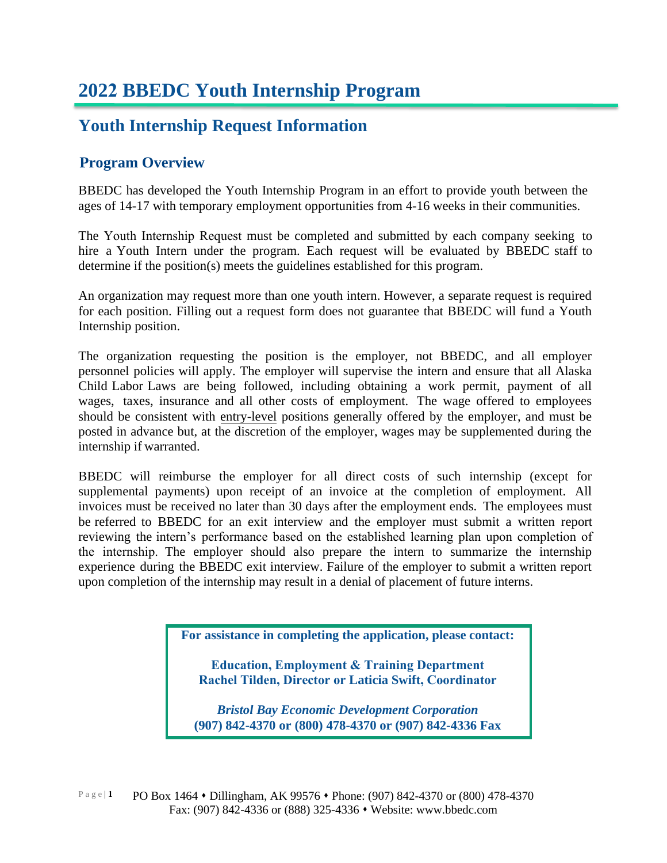#### **Youth Internship Request Information**

#### **Program Overview**

BBEDC has developed the Youth Internship Program in an effort to provide youth between the ages of 14-17 with temporary employment opportunities from 4-16 weeks in their communities.

The Youth Internship Request must be completed and submitted by each company seeking to hire a Youth Intern under the program. Each request will be evaluated by BBEDC staff to determine if the position(s) meets the guidelines established for this program.

An organization may request more than one youth intern. However, a separate request is required for each position. Filling out a request form does not guarantee that BBEDC will fund a Youth Internship position.

The organization requesting the position is the employer, not BBEDC, and all employer personnel policies will apply. The employer will supervise the intern and ensure that all Alaska Child Labor Laws are being followed, including obtaining a work permit, payment of all wages, taxes, insurance and all other costs of employment. The wage offered to employees should be consistent with entry-level positions generally offered by the employer, and must be posted in advance but, at the discretion of the employer, wages may be supplemented during the internship if warranted.

BBEDC will reimburse the employer for all direct costs of such internship (except for supplemental payments) upon receipt of an invoice at the completion of employment. All invoices must be received no later than 30 days after the employment ends. The employees must be referred to BBEDC for an exit interview and the employer must submit a written report reviewing the intern's performance based on the established learning plan upon completion of the internship. The employer should also prepare the intern to summarize the internship experience during the BBEDC exit interview. Failure of the employer to submit a written report upon completion of the internship may result in a denial of placement of future interns.

**For assistance in completing the application, please contact:**

**Education, Employment & Training Department Rachel Tilden, Director or Laticia Swift, Coordinator**

*Bristol Bay Economic Development Corporation*  **(907) 842-4370 or (800) 478-4370 or (907) 842-4336 Fax**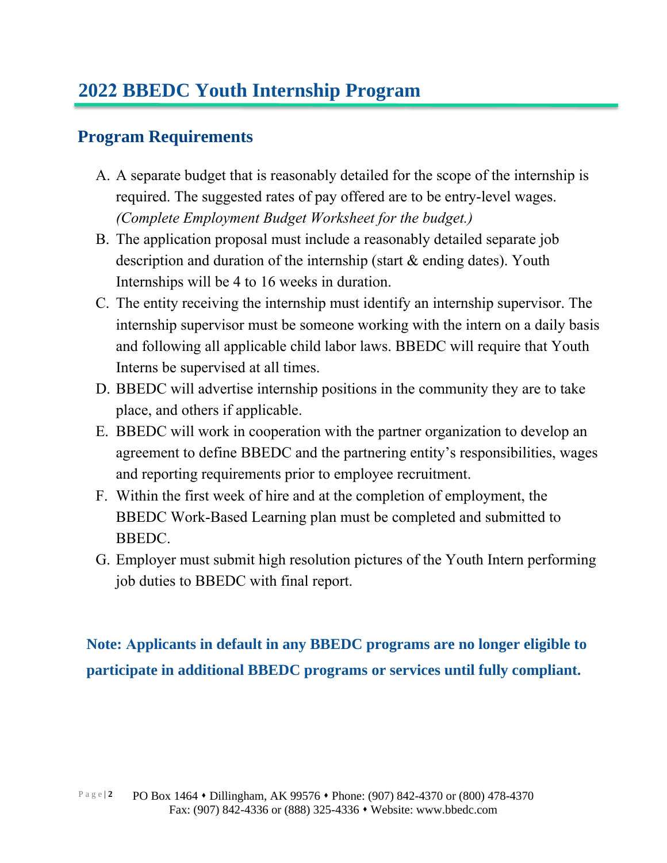### **Program Requirements**

- A. A separate budget that is reasonably detailed for the scope of the internship is required. The suggested rates of pay offered are to be entry-level wages. *(Complete Employment Budget Worksheet for the budget.)*
- B. The application proposal must include a reasonably detailed separate job description and duration of the internship (start & ending dates). Youth Internships will be 4 to 16 weeks in duration.
- C. The entity receiving the internship must identify an internship supervisor. The internship supervisor must be someone working with the intern on a daily basis and following all applicable child labor laws. BBEDC will require that Youth Interns be supervised at all times.
- D. BBEDC will advertise internship positions in the community they are to take place, and others if applicable.
- E. BBEDC will work in cooperation with the partner organization to develop an agreement to define BBEDC and the partnering entity's responsibilities, wages and reporting requirements prior to employee recruitment.
- F. Within the first week of hire and at the completion of employment, the BBEDC Work-Based Learning plan must be completed and submitted to BBEDC.
- G. Employer must submit high resolution pictures of the Youth Intern performing job duties to BBEDC with final report.

**Note: Applicants in default in any BBEDC programs are no longer eligible to participate in additional BBEDC programs or services until fully compliant.**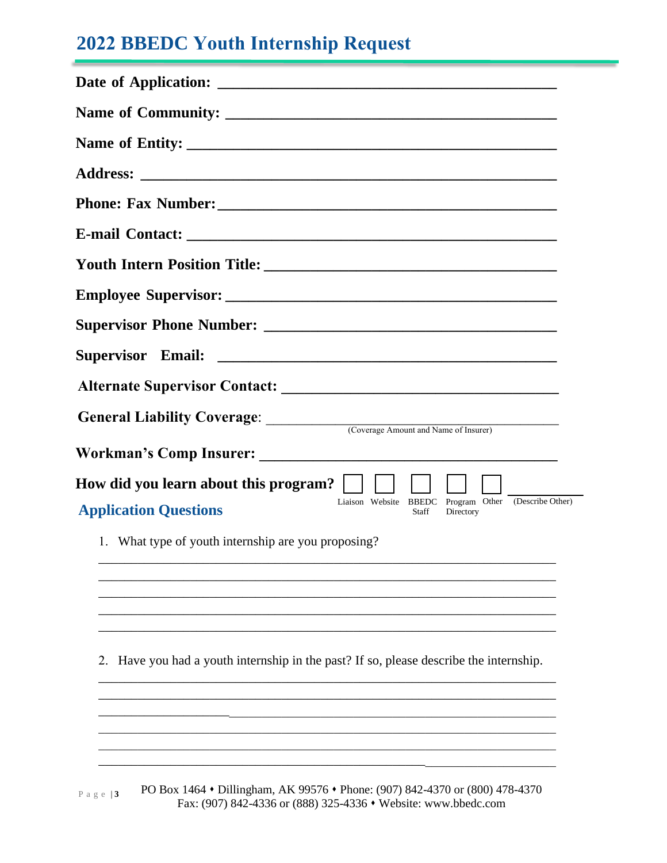## **2022 BBEDC Youth Internship Request**

| General Liability Coverage: Coverage Amount and Name of Insurer)                                                  |
|-------------------------------------------------------------------------------------------------------------------|
|                                                                                                                   |
| How did you learn about this program?                                                                             |
| Liaison Website BBEDC Program Other (Describe Other)<br><b>Application Questions</b><br><b>Staff</b><br>Directory |
| 1. What type of youth internship are you proposing?                                                               |
|                                                                                                                   |
|                                                                                                                   |
|                                                                                                                   |
| Have you had a youth internship in the past? If so, please describe the internship.<br>2.                         |
|                                                                                                                   |
|                                                                                                                   |
|                                                                                                                   |
|                                                                                                                   |

PO Box 1464 • Dillingham, AK 99576 • Phone: (907) 842-4370 or (800) 478-4370 Fax: (907) 842-4336 or (888) 325-4336 ⬧ Website: www.bbedc.com P a g e | **3**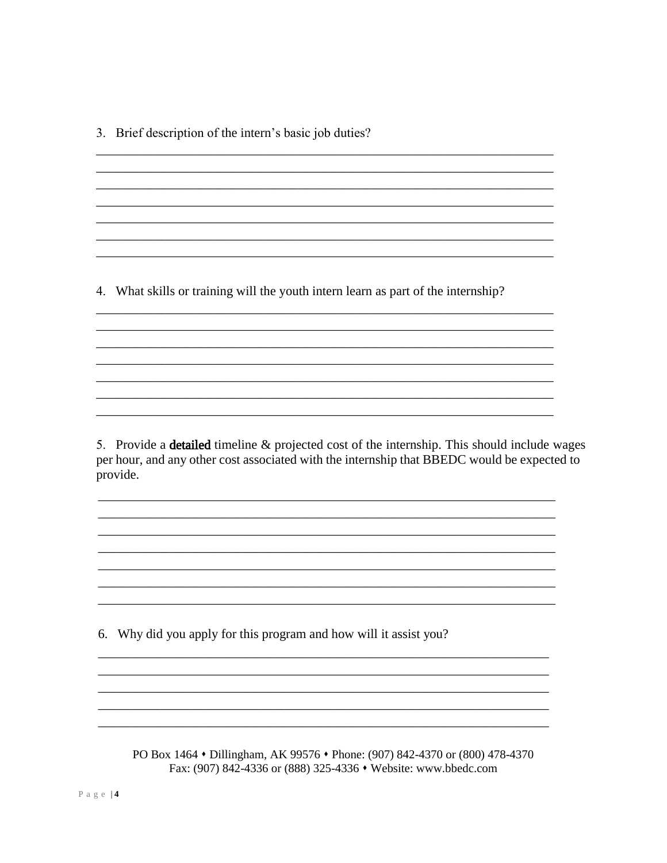3. Brief description of the intern's basic job duties?

4. What skills or training will the youth intern learn as part of the internship?

5. Provide a detailed timeline & projected cost of the internship. This should include wages per hour, and any other cost associated with the internship that BBEDC would be expected to provide.

6. Why did you apply for this program and how will it assist you?

PO Box 1464 • Dillingham, AK 99576 • Phone: (907) 842-4370 or (800) 478-4370 Fax: (907) 842-4336 or (888) 325-4336 • Website: www.bbedc.com